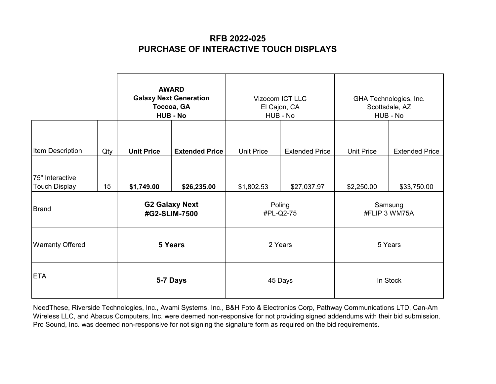|                                         |     | <b>AWARD</b><br><b>Galaxy Next Generation</b><br>Toccoa, GA<br><b>HUB - No</b> |             | Vizocom ICT LLC<br>El Cajon, CA<br>HUB - No |                       | GHA Technologies, Inc.<br>Scottsdale, AZ<br>HUB - No |                       |
|-----------------------------------------|-----|--------------------------------------------------------------------------------|-------------|---------------------------------------------|-----------------------|------------------------------------------------------|-----------------------|
| Item Description                        | Qty | <b>Unit Price</b><br><b>Extended Price</b>                                     |             | <b>Unit Price</b>                           | <b>Extended Price</b> | <b>Unit Price</b>                                    | <b>Extended Price</b> |
| 75" Interactive<br><b>Touch Display</b> | 15  | \$1,749.00                                                                     | \$26,235.00 | \$1,802.53                                  | \$27,037.97           | \$2,250.00                                           | \$33,750.00           |
| <b>Brand</b>                            |     | <b>G2 Galaxy Next</b><br>#G2-SLIM-7500                                         |             | Poling<br>#PL-Q2-75                         |                       | Samsung<br>#FLIP 3 WM75A                             |                       |
| <b>Warranty Offered</b>                 |     |                                                                                | 5 Years     | 2 Years                                     |                       | 5 Years                                              |                       |
| <b>ETA</b>                              |     |                                                                                | 5-7 Days    | 45 Days                                     |                       | In Stock                                             |                       |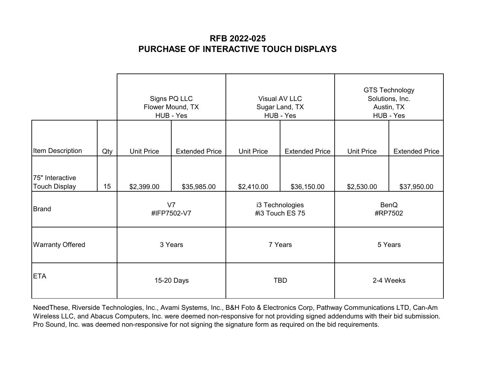|                                         |     | Signs PQ LLC<br>Flower Mound, TX<br>HUB - Yes |                       | Visual AV LLC<br>Sugar Land, TX<br>HUB - Yes |                       | <b>GTS Technology</b><br>Solutions, Inc.<br>Austin, TX<br>HUB - Yes |                       |  |
|-----------------------------------------|-----|-----------------------------------------------|-----------------------|----------------------------------------------|-----------------------|---------------------------------------------------------------------|-----------------------|--|
| Item Description                        | Qty | <b>Unit Price</b>                             | <b>Extended Price</b> | <b>Unit Price</b>                            | <b>Extended Price</b> | <b>Unit Price</b>                                                   | <b>Extended Price</b> |  |
| 75" Interactive<br><b>Touch Display</b> | 15  | \$2,399.00                                    | \$35,985.00           | \$2,410.00                                   | \$36,150.00           | \$2,530.00                                                          | \$37,950.00           |  |
| <b>Brand</b>                            |     | V7<br>#IFP7502-V7                             |                       | i3 Technologies<br>#i3 Touch ES 75           |                       | BenQ<br>#RP7502                                                     |                       |  |
| <b>Warranty Offered</b>                 |     | 3 Years                                       |                       | 7 Years                                      |                       | 5 Years                                                             |                       |  |
| <b>ETA</b>                              |     |                                               | 15-20 Days            |                                              | <b>TBD</b>            |                                                                     | 2-4 Weeks             |  |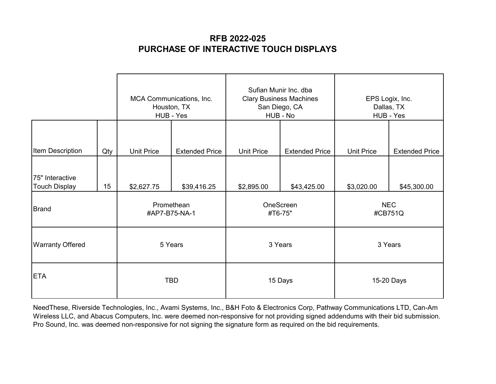|                                         |     | MCA Communications, Inc.<br>Houston, TX<br>HUB - Yes |                       | Sufian Munir Inc. dba<br><b>Clary Business Machines</b><br>San Diego, CA<br>HUB - No |                       | EPS Logix, Inc.<br>Dallas, TX<br>HUB - Yes |                       |
|-----------------------------------------|-----|------------------------------------------------------|-----------------------|--------------------------------------------------------------------------------------|-----------------------|--------------------------------------------|-----------------------|
| Item Description                        | Qty | <b>Unit Price</b>                                    | <b>Extended Price</b> | <b>Unit Price</b>                                                                    | <b>Extended Price</b> | <b>Unit Price</b>                          | <b>Extended Price</b> |
| 75" Interactive<br><b>Touch Display</b> | 15  | \$2,627.75                                           | \$39,416.25           | \$2,895.00                                                                           | \$43,425.00           | \$3,020.00                                 | \$45,300.00           |
| <b>Brand</b>                            |     | Promethean<br>#AP7-B75-NA-1                          |                       | OneScreen<br>#T6-75"                                                                 |                       | <b>NEC</b><br>#CB751Q                      |                       |
| <b>Warranty Offered</b>                 |     | 5 Years                                              |                       | 3 Years                                                                              |                       | 3 Years                                    |                       |
| <b>ETA</b>                              |     |                                                      | <b>TBD</b>            | 15 Days                                                                              |                       | 15-20 Days                                 |                       |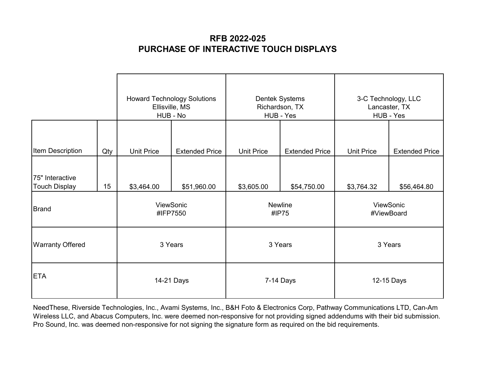|                                         |     | <b>Howard Technology Solutions</b><br>Ellisville, MS<br>HUB - No |                       | <b>Dentek Systems</b><br>Richardson, TX<br>HUB - Yes |                       | 3-C Technology, LLC<br>Lancaster, TX<br>HUB - Yes |                       |
|-----------------------------------------|-----|------------------------------------------------------------------|-----------------------|------------------------------------------------------|-----------------------|---------------------------------------------------|-----------------------|
| Item Description                        | Qty | <b>Unit Price</b>                                                | <b>Extended Price</b> | <b>Unit Price</b>                                    | <b>Extended Price</b> | <b>Unit Price</b>                                 | <b>Extended Price</b> |
| 75" Interactive<br><b>Touch Display</b> | 15  | \$3,464.00                                                       | \$51,960.00           | \$3,605.00                                           | \$54,750.00           | \$3,764.32                                        | \$56,464.80           |
| <b>Brand</b>                            |     | ViewSonic<br>#IFP7550                                            |                       | Newline<br>#IP75                                     |                       | ViewSonic<br>#ViewBoard                           |                       |
| <b>Warranty Offered</b>                 |     | 3 Years                                                          |                       | 3 Years                                              |                       | 3 Years                                           |                       |
| <b>ETA</b>                              |     | 14-21 Days                                                       |                       | 7-14 Days                                            |                       | 12-15 Days                                        |                       |